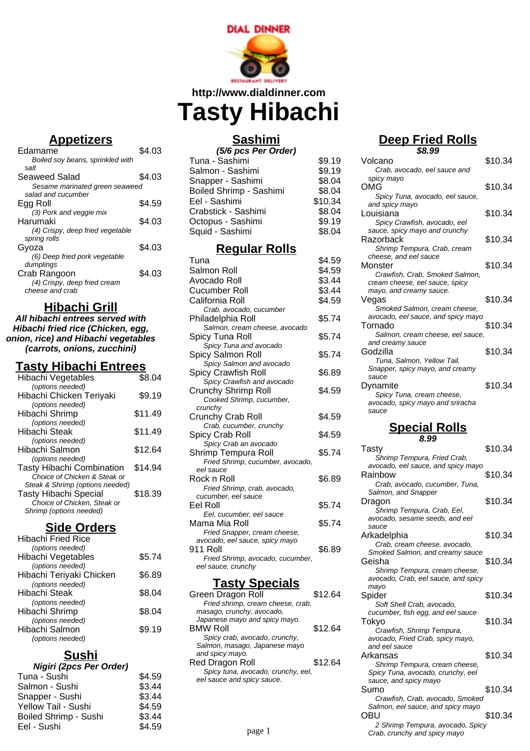

**http://www.dialdinner.com**

**HELL** 

**Tasty Hibachi**

#### **Appetizers**

| \$4.03                         |
|--------------------------------|
|                                |
|                                |
| \$4.03                         |
| Sesame marinated green seaweed |
|                                |
| S4.59                          |
|                                |
| \$4.03                         |
|                                |
|                                |
| \$4.03                         |
|                                |
|                                |
| \$4.03                         |
|                                |
|                                |
|                                |

### **Hibachi Grill**

**All hibachi entrees served with Hibachi fried rice (Chicken, egg, onion, rice) and Hibachi vegetables (carrots, onions, zucchini)**

# **Tasty Hibachi Entrees**

| Hibachi Vegetables               | \$8.04  |
|----------------------------------|---------|
| (options needed)                 |         |
| Hibachi Chicken Teriyaki         | \$9.19  |
| (options needed)                 |         |
| Hibachi Shrimp                   | \$11.49 |
| (options needed)                 |         |
| Hibachi Steak                    | \$11.49 |
| (options needed)                 |         |
| Hibachi Salmon                   | \$12.64 |
| (options needed)                 |         |
| <b>Tasty Hibachi Combination</b> | \$14.94 |
| Choice of Chicken & Steak or     |         |
| Steak & Shrimp (options needed)  |         |
| <b>Tasty Hibachi Special</b>     | \$18.39 |
| Choice of Chicken, Steak or      |         |
| Shrimp (options needed)          |         |
|                                  |         |

# **Side Orders**

| <b>Hibachi Fried Rice</b> |        |
|---------------------------|--------|
| (options needed)          |        |
| Hibachi Vegetables        | \$5.74 |
| (options needed)          |        |
| Hibachi Teriyaki Chicken  | \$6.89 |
| (options needed)          |        |
| Hibachi Steak             | \$8.04 |
| (options needed)          |        |
| Hibachi Shrimp            | \$8.04 |
| (options needed)          |        |
| Hibachi Salmon            | \$9.19 |
| (options needed)          |        |
|                           |        |

# **Sushi**

| Nigiri (2pcs Per Order)      |        |
|------------------------------|--------|
| Tuna - Sushi                 | \$4.59 |
| Salmon - Sushi               | \$3.44 |
| Snapper - Sushi              | \$3.44 |
| Yellow Tail - Sushi          | \$4.59 |
| <b>Boiled Shrimp - Sushi</b> | \$3.44 |
| Eel - Sushi                  | \$4.59 |
|                              |        |

# **Sashimi**

| (5/6 pcs Per Order)            |         |  |
|--------------------------------|---------|--|
| Tuna - Sashimi                 | \$9.19  |  |
| Salmon - Sashimi               | \$9.19  |  |
| Snapper - Sashimi              | \$8.04  |  |
| <b>Boiled Shrimp - Sashimi</b> | \$8.04  |  |
| Eel - Sashimi                  | \$10.34 |  |
| Crabstick - Sashimi            | \$8.04  |  |
| Octopus - Sashimi              | \$9.19  |  |
| Squid - Sashimi                | \$8.04  |  |
|                                |         |  |

#### **Regular Rolls**

| Tuna                                          | \$4.59 |
|-----------------------------------------------|--------|
| Salmon Roll                                   | \$4.59 |
| Avocado Roll                                  | \$3.44 |
| Cucumber Roll                                 | \$3.44 |
| California Roll                               | \$4.59 |
| Crab, avocado, cucumber                       |        |
| Philadelphia Roll                             | \$5.74 |
| Salmon, cream cheese, avocado                 |        |
| Spicy Tuna Roll                               | \$5.74 |
| Spicy Tuna and avocado                        |        |
| Spicy Salmon Roll                             | \$5.74 |
| Spicy Salmon and avocado                      |        |
| <b>Spicy Crawfish Roll</b>                    | \$6.89 |
| Spicy Crawfish and avocado                    |        |
| Crunchy Shrimp Roll                           | \$4.59 |
| Cooked Shrimp, cucumber,                      |        |
| crunchy                                       |        |
| Crunchy Crab Roll                             | \$4.59 |
| Crab, cucumber, crunchy                       |        |
| Spicy Crab Roll                               | \$4.59 |
| Spicy Crab an avocado                         |        |
| Shrimp Tempura Roll                           | \$5.74 |
| Fried Shrimp, cucumber, avocado,<br>eel sauce |        |
| Rock n Roll                                   | \$6.89 |
| Fried Shrimp, crab, avocado,                  |        |
| cucumber, eel sauce                           |        |
| Eel Roll                                      | \$5.74 |
| Eel, cucumber, eel sauce                      |        |
| Mama Mia Roll                                 | \$5.74 |
| Fried Snapper, cream cheese,                  |        |
| avocado, eel sauce, spicy mayo                |        |
| 911 Roll                                      | \$6.89 |
| Fried Shrimp, avocado, cucumber,              |        |
| eel sauce, crunchy                            |        |

# **Tasty Specials**

| Green Dragon Roll                  | \$12.64 |
|------------------------------------|---------|
| Fried shrimp, cream cheese, crab,  |         |
| masago, crunchy, avocado,          |         |
| Japanese mayo and spicy mayo.      |         |
| <b>BMW Roll</b>                    | \$12.64 |
| Spicy crab, avocado, crunchy,      |         |
| Salmon, masago, Japanese mayo      |         |
| and spicy mayo.                    |         |
| Red Dragon Roll                    | \$12.64 |
| Spicy tuna, avocado, crunchy, eel, |         |
| eel sauce and spicy sauce.         |         |
|                                    |         |
|                                    |         |
|                                    |         |

# **Deep Fried Rolls**

| \$8.99                                                        |         |  |  |
|---------------------------------------------------------------|---------|--|--|
| Volcano                                                       | \$10.34 |  |  |
| Crab, avocado, eel sauce and                                  |         |  |  |
| spicy mayo                                                    |         |  |  |
| OMG                                                           | \$10.34 |  |  |
| Spicy Tuna, avocado, eel sauce,                               |         |  |  |
| and spicy mayo                                                |         |  |  |
| Louisiana                                                     | \$10.34 |  |  |
| Spicy Crawfish, avocado, eel                                  |         |  |  |
| sauce, spicy mayo and crunchy                                 |         |  |  |
| Razorback                                                     | \$10.34 |  |  |
| Shrimp Tempura, Crab, cream                                   |         |  |  |
| cheese, and eel sauce                                         |         |  |  |
| Monster                                                       | \$10.34 |  |  |
| Crawfish, Crab, Smoked Salmon,                                |         |  |  |
| cream cheese, eel sauce, spicy                                |         |  |  |
| mayo, and creamy sauce.                                       |         |  |  |
| Vegas                                                         | \$10.34 |  |  |
| Smoked Salmon, cream cheese,                                  |         |  |  |
| avocado, eel sauce, and spicy mayo                            |         |  |  |
| Tornado                                                       | \$10.34 |  |  |
| Salmon, cream cheese, eel sauce,                              |         |  |  |
| and creamy sauce<br>Godzilla                                  |         |  |  |
|                                                               | \$10.34 |  |  |
| Tuna, Salmon, Yellow Tail,<br>Snapper, spicy mayo, and creamy |         |  |  |
| sauce                                                         |         |  |  |
| Dvnamite                                                      | \$10.34 |  |  |
| Spicy Tuna, cream cheese,                                     |         |  |  |
| avocado, spicy mayo and sriracha                              |         |  |  |
| sauce                                                         |         |  |  |
|                                                               |         |  |  |
| <b>Special Rolls</b>                                          |         |  |  |
| 8.99                                                          |         |  |  |
| I asty                                                        | \$10.34 |  |  |
| Shrimp Tempura, Fried Crab,                                   |         |  |  |
| avocado, eel sauce, and spicy mayo                            |         |  |  |
| Rainbow                                                       | \$10.34 |  |  |
| Crab, avocado, cucumber, Tuna,                                |         |  |  |
| Salmon, and Snapper                                           |         |  |  |
| Dragon                                                        | \$10.34 |  |  |
| Shrimp Tempura, Crab, Eel,                                    |         |  |  |
| avocado, sesame seeds, and eel                                |         |  |  |
| sauce                                                         |         |  |  |
| Arkadelphia                                                   | \$10.34 |  |  |
| Crab, cream cheese, avocado,                                  |         |  |  |
| Smoked Salmon, and creamy sauce                               |         |  |  |
| Geisha                                                        | \$10.34 |  |  |
|                                                               |         |  |  |

| arccan, caca<br>:hv                                    |         | Geisna<br>Shrimp Tempura, cream cheese,                                                                                      | \$10.34 |
|--------------------------------------------------------|---------|------------------------------------------------------------------------------------------------------------------------------|---------|
| <b>Specials</b>                                        |         | avocado, Crab, eel sauce, and spicy<br>mayo                                                                                  |         |
| Roll<br>cream cheese, crab,<br>y, avocado,             | \$12.64 | Spider<br>Soft Shell Crab, avocado,                                                                                          | \$10.34 |
| and spicy mayo.<br>ocado, crunchy,<br>o, Japanese mayo | \$12.64 | cucumber, fish egg, and eel sauce<br>Tokyo<br>Crawfish, Shrimp Tempura,<br>avocado, Fried Crab, spicy mayo,<br>and eel sauce | \$10.34 |
| oll<br>ocado, crunchy, eel,<br>picy sauce.             | \$12.64 | Arkansas<br>Shrimp Tempura, cream cheese,<br>Spicy Tuna, avocado, crunchy, eel<br>sauce, and spicy mayo                      | \$10.34 |
|                                                        |         | Sumo<br>Crawfish, Crab, avocado, Smoked<br>Salmon, eel sauce, and spicy mayo                                                 | \$10.34 |
| page 1                                                 |         | OBU<br>2 Shrimp Tempura, avocado, Spicy<br>Crab, crunchy and spicy mayo                                                      | \$10.34 |
|                                                        |         |                                                                                                                              |         |